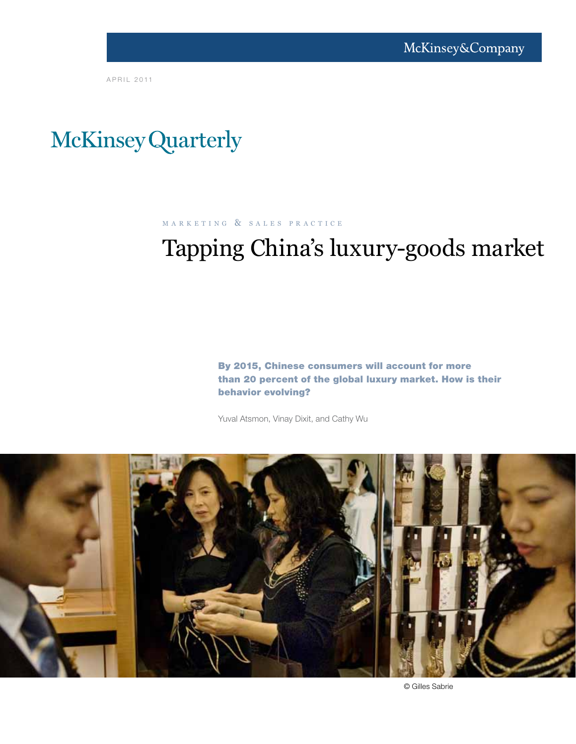A P R I L 2011

# McKinsey Quarterly

M A R K E T I N G & S A L E S P R A C T I C E

# Tapping China's luxury-goods market

By 2015, Chinese consumers will account for more than 20 percent of the global luxury market. How is their behavior evolving?

Yuval Atsmon, Vinay Dixit, and Cathy Wu



© Gilles Sabrie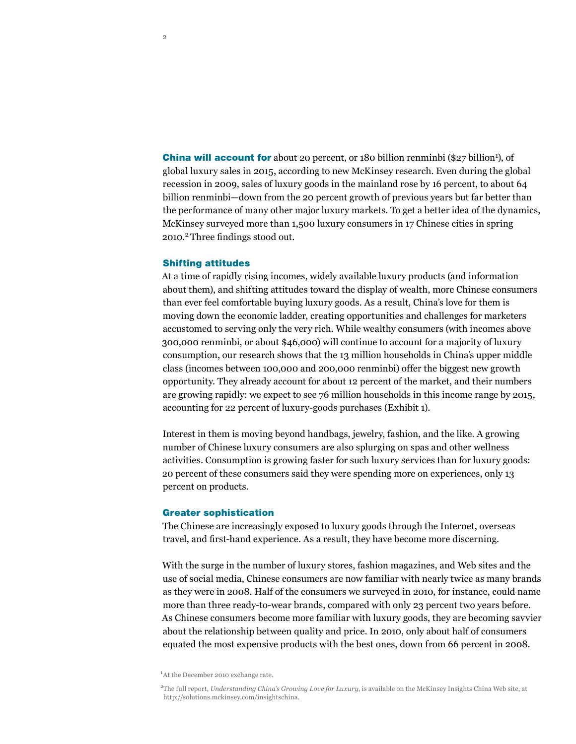China will account for about 20 percent, or 180 billion renminbi (\$27 billion<sup>1</sup>), of global luxury sales in 2015, according to new McKinsey research. Even during the global recession in 2009, sales of luxury goods in the mainland rose by 16 percent, to about 64 billion renminbi—down from the 20 percent growth of previous years but far better than the performance of many other major luxury markets. To get a better idea of the dynamics, McKinsey surveyed more than 1,500 luxury consumers in 17 Chinese cities in spring 2010.2 Three findings stood out.

# Shifting attitudes

At a time of rapidly rising incomes, widely available luxury products (and information about them), and shifting attitudes toward the display of wealth, more Chinese consumers than ever feel comfortable buying luxury goods. As a result, China's love for them is moving down the economic ladder, creating opportunities and challenges for marketers accustomed to serving only the very rich. While wealthy consumers (with incomes above 300,000 renminbi, or about \$46,000) will continue to account for a majority of luxury consumption, our research shows that the 13 million households in China's upper middle class (incomes between 100,000 and 200,000 renminbi) offer the biggest new growth opportunity. They already account for about 12 percent of the market, and their numbers are growing rapidly: we expect to see 76 million households in this income range by 2015, accounting for 22 percent of luxury-goods purchases (Exhibit 1).

Interest in them is moving beyond handbags, jewelry, fashion, and the like. A growing number of Chinese luxury consumers are also splurging on spas and other wellness activities. Consumption is growing faster for such luxury services than for luxury goods: 20 percent of these consumers said they were spending more on experiences, only 13 percent on products.

#### Greater sophistication

The Chinese are increasingly exposed to luxury goods through the Internet, overseas travel, and first-hand experience. As a result, they have become more discerning.

With the surge in the number of luxury stores, fashion magazines, and Web sites and the use of social media, Chinese consumers are now familiar with nearly twice as many brands as they were in 2008. Half of the consumers we surveyed in 2010, for instance, could name more than three ready-to-wear brands, compared with only 23 percent two years before. As Chinese consumers become more familiar with luxury goods, they are becoming savvier about the relationship between quality and price. In 2010, only about half of consumers equated the most expensive products with the best ones, down from 66 percent in 2008.

<sup>1</sup>At the December 2010 exchange rate.

2 The full report, *Understanding China's Growing Love for Luxury*, is available on the McKinsey Insights China Web site, at http://solutions.mckinsey.com/insightschina.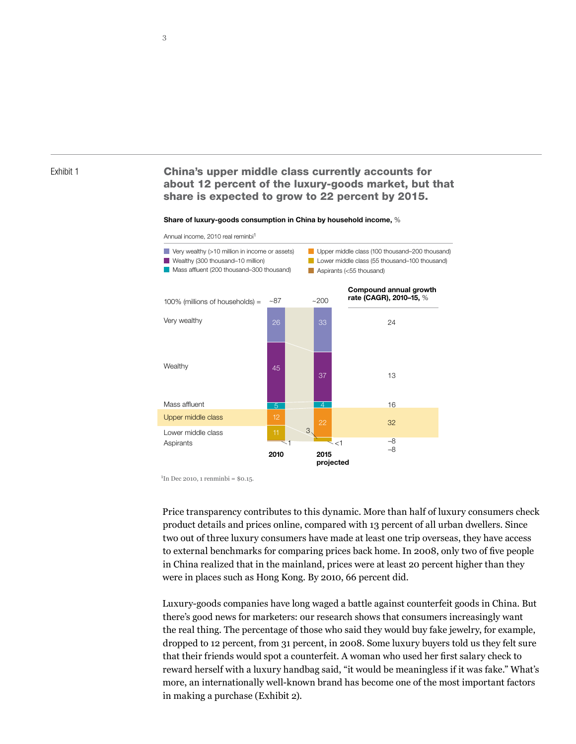### Exhibit 1

# China's upper middle class currently accounts for about 12 percent of the luxury-goods market, but that share is expected to grow to 22 percent by 2015.

#### Share of luxury-goods consumption in China by household income, %



 $1$ In Dec 2010, 1 renminbi = \$0.15.

Price transparency contributes to this dynamic. More than half of luxury consumers check product details and prices online, compared with 13 percent of all urban dwellers. Since two out of three luxury consumers have made at least one trip overseas, they have access to external benchmarks for comparing prices back home. In 2008, only two of five people in China realized that in the mainland, prices were at least 20 percent higher than they were in places such as Hong Kong. By 2010, 66 percent did.

Luxury-goods companies have long waged a battle against counterfeit goods in China. But there's good news for marketers: our research shows that consumers increasingly want the real thing. The percentage of those who said they would buy fake jewelry, for example, dropped to 12 percent, from 31 percent, in 2008. Some luxury buyers told us they felt sure that their friends would spot a counterfeit. A woman who used her first salary check to reward herself with a luxury handbag said, "it would be meaningless if it was fake." What's more, an internationally well-known brand has become one of the most important factors in making a purchase (Exhibit 2).

3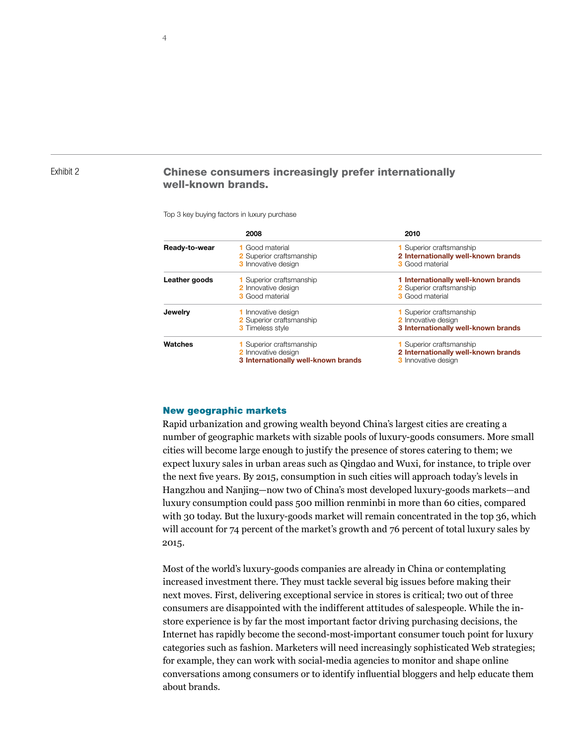## Exhibit 2

# Chinese consumers increasingly prefer internationally well-known brands.

#### Top 3 key buying factors in luxury purchase

|               | 2008                                | 2010                                |
|---------------|-------------------------------------|-------------------------------------|
| Ready-to-wear | 1 Good material                     | <b>1</b> Superior craftsmanship     |
|               | <b>2</b> Superior craftsmanship     | 2 Internationally well-known brands |
|               | <b>3</b> Innovative design          | <b>3</b> Good material              |
| Leather goods | 1 Superior craftsmanship            | 1 Internationally well-known brands |
|               | 2 Innovative design                 | 2 Superior craftsmanship            |
|               | <b>3</b> Good material              | <b>3</b> Good material              |
| Jewelry       | 1 Innovative design                 | <b>1</b> Superior craftsmanship     |
|               | 2 Superior craftsmanship            | 2 Innovative design                 |
|               | <b>3</b> Timeless style             | 3 Internationally well-known brands |
| Watches       | <b>1</b> Superior craftsmanship     | <b>1</b> Superior craftsmanship     |
|               | 2 Innovative design                 | 2 Internationally well-known brands |
|               | 3 Internationally well-known brands | <b>3</b> Innovative design          |

## New geographic markets

Rapid urbanization and growing wealth beyond China's largest cities are creating a number of geographic markets with sizable pools of luxury-goods consumers. More small cities will become large enough to justify the presence of stores catering to them; we expect luxury sales in urban areas such as Qingdao and Wuxi, for instance, to triple over the next five years. By 2015, consumption in such cities will approach today's levels in Hangzhou and Nanjing—now two of China's most developed luxury-goods markets—and luxury consumption could pass 500 million renminbi in more than 60 cities, compared with 30 today. But the luxury-goods market will remain concentrated in the top 36, which will account for 74 percent of the market's growth and 76 percent of total luxury sales by 2015.

Most of the world's luxury-goods companies are already in China or contemplating increased investment there. They must tackle several big issues before making their next moves. First, delivering exceptional service in stores is critical; two out of three consumers are disappointed with the indifferent attitudes of salespeople. While the instore experience is by far the most important factor driving purchasing decisions, the Internet has rapidly become the second-most-important consumer touch point for luxury categories such as fashion. Marketers will need increasingly sophisticated Web strategies; for example, they can work with social-media agencies to monitor and shape online conversations among consumers or to identify influential bloggers and help educate them about brands.